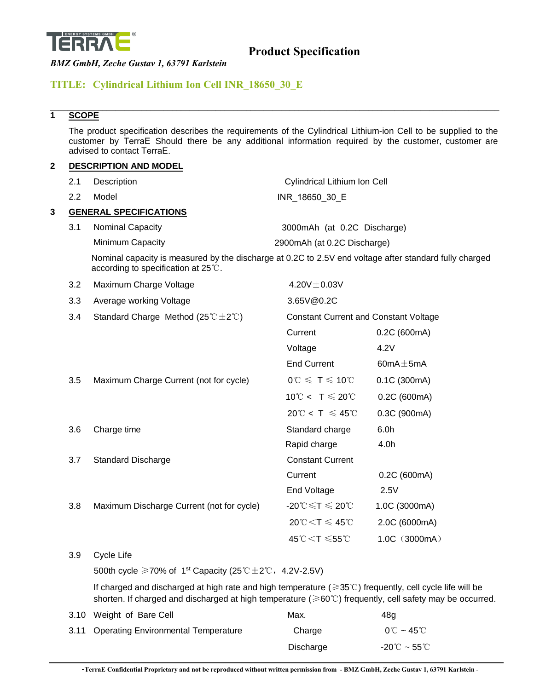

### **TITLE: Cylindrical Lithium Ion Cell INR\_18650\_30\_E**

### **1 SCOPE**

The product specification describes the requirements of the Cylindrical Lithium-ion Cell to be supplied to the customer by TerraE Should there be any additional information required by the customer, customer are advised to contact TerraE.

\_\_\_\_\_\_\_\_\_\_\_\_\_\_\_\_\_\_\_\_\_\_\_\_\_\_\_\_\_\_\_\_\_\_\_\_\_\_\_\_\_\_\_\_\_\_\_\_\_\_\_\_\_\_\_\_\_\_\_\_\_\_\_\_\_\_\_\_\_\_\_\_\_\_\_\_\_\_\_\_\_\_\_\_\_\_\_\_\_\_\_\_\_\_\_\_\_\_\_\_\_\_\_

#### **2 DESCRIPTION AND MODEL**

|     | 2.1 | Description                                                                                                                                             | <b>Cylindrical Lithium Ion Cell</b>                           |                 |  |
|-----|-----|---------------------------------------------------------------------------------------------------------------------------------------------------------|---------------------------------------------------------------|-----------------|--|
|     | 2.2 | Model                                                                                                                                                   | INR 18650 30 E                                                |                 |  |
| 3   |     | <b>GENERAL SPECIFICATIONS</b>                                                                                                                           |                                                               |                 |  |
|     | 3.1 | Nominal Capacity                                                                                                                                        | 3000mAh (at 0.2C Discharge)                                   |                 |  |
|     |     | Minimum Capacity                                                                                                                                        | 2900mAh (at 0.2C Discharge)                                   |                 |  |
|     |     | Nominal capacity is measured by the discharge at 0.2C to 2.5V end voltage after standard fully charged<br>according to specification at $25^{\circ}$ C. |                                                               |                 |  |
|     | 3.2 | Maximum Charge Voltage                                                                                                                                  | 4.20V $\pm$ 0.03V                                             |                 |  |
|     | 3.3 | Average working Voltage                                                                                                                                 | 3.65V@0.2C                                                    |                 |  |
|     | 3.4 | Standard Charge Method $(25^{\circ}C \pm 2^{\circ}C)$                                                                                                   | <b>Constant Current and Constant Voltage</b>                  |                 |  |
|     |     |                                                                                                                                                         | Current                                                       | 0.2C (600mA)    |  |
|     |     |                                                                                                                                                         | Voltage                                                       | 4.2V            |  |
|     |     |                                                                                                                                                         | <b>End Current</b>                                            | 60 $mA \pm 5mA$ |  |
|     | 3.5 | Maximum Charge Current (not for cycle)                                                                                                                  | $0^{\circ}$ C $\leqslant$ T $\leqslant$ 10 $^{\circ}$ C       | 0.1C (300mA)    |  |
|     |     |                                                                                                                                                         | 10°C < T $\leqslant$ 20°C                                     | 0.2C (600mA)    |  |
|     |     |                                                                                                                                                         | $20^{\circ}C < T \leq 45^{\circ}C$                            | 0.3C (900mA)    |  |
|     | 3.6 | Charge time                                                                                                                                             | Standard charge                                               | 6.0h            |  |
|     |     |                                                                                                                                                         | Rapid charge                                                  | 4.0h            |  |
|     | 3.7 | <b>Standard Discharge</b>                                                                                                                               | <b>Constant Current</b>                                       |                 |  |
|     |     |                                                                                                                                                         | Current                                                       | 0.2C (600mA)    |  |
|     |     |                                                                                                                                                         | End Voltage                                                   | 2.5V            |  |
|     | 3.8 | Maximum Discharge Current (not for cycle)                                                                                                               | $-20^{\circ}$ C $\leq$ T $\leqslant$ 20 $^{\circ}$ C          | 1.0C (3000mA)   |  |
|     |     |                                                                                                                                                         | $20^{\circ}$ C $\leq$ T $\leqslant$ 45 $^{\circ}$ C           | 2.0C (6000mA)   |  |
|     |     |                                                                                                                                                         | 45℃ <t td="" ≤55℃<=""><td><math>1.0C</math> (3000mA)</td></t> | $1.0C$ (3000mA) |  |
| 3.9 |     | Cycle Life                                                                                                                                              |                                                               |                 |  |
|     |     | 500th cycle $\geq$ 70% of 1 <sup>st</sup> Capacity (25°C ± 2°C, 4.2V-2.5V)                                                                              |                                                               |                 |  |
|     |     | If charged and discharged at high rate and high temperature ( $\geq 35^{\circ}$ C) frequently, cell cycle life will be                                  |                                                               |                 |  |

shorten. If charged and discharged at high temperature ( $\geq 60^{\circ}$ C) frequently, cell safety may be occurred.

| 3.10 Weight of Bare Cell                 | Max.      | 48a                                                |
|------------------------------------------|-----------|----------------------------------------------------|
| 3.11 Operating Environmental Temperature | Charge    | $0^{\circ}$ C ~ 45 $^{\circ}$ C                    |
|                                          | Discharge | $-20^{\circ}\textrm{C}\sim 55^{\circ}\textrm{C}$ . |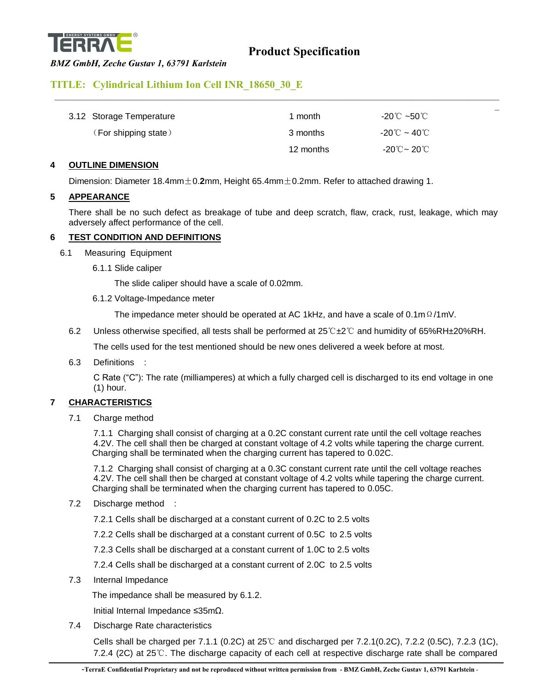

### *BMZ GmbH, Zeche Gustav 1, 63791 Karlstein*

### **TITLE: Cylindrical Lithium Ion Cell INR\_18650\_30\_E**

| 3.12 Storage Temperature | 1 month   | -20℃ ~50℃                            |
|--------------------------|-----------|--------------------------------------|
| (For shipping state)     | 3 months  | -20 $\mathrm{C}$ ~ 40 $\mathrm{C}$ . |
|                          | 12 months | -20℃~ 20℃                            |

 $\mathcal{L}_\mathcal{L} = \mathcal{L}_\mathcal{L} = \mathcal{L}_\mathcal{L} = \mathcal{L}_\mathcal{L} = \mathcal{L}_\mathcal{L} = \mathcal{L}_\mathcal{L} = \mathcal{L}_\mathcal{L} = \mathcal{L}_\mathcal{L} = \mathcal{L}_\mathcal{L} = \mathcal{L}_\mathcal{L} = \mathcal{L}_\mathcal{L} = \mathcal{L}_\mathcal{L} = \mathcal{L}_\mathcal{L} = \mathcal{L}_\mathcal{L} = \mathcal{L}_\mathcal{L} = \mathcal{L}_\mathcal{L} = \mathcal{L}_\mathcal{L}$ 

### **4 OUTLINE DIMENSION**

Dimension: Diameter 18.4mm±0.**2**mm, Height 65.4mm±0.2mm. Refer to attached drawing 1.

### **5 APPEARANCE**

There shall be no such defect as breakage of tube and deep scratch, flaw, crack, rust, leakage, which may adversely affect performance of the cell.

### **6 TEST CONDITION AND DEFINITIONS**

- 6.1 Measuring Equipment
	- 6.1.1 Slide caliper

The slide caliper should have a scale of 0.02mm.

6.1.2 Voltage-Impedance meter

The impedance meter should be operated at AC 1kHz, and have a scale of 0.1m $\Omega$ /1mV.

6.2 Unless otherwise specified, all tests shall be performed at 25℃±2℃ and humidity of 65%RH±20%RH.

The cells used for the test mentioned should be new ones delivered a week before at most.

6.3 Definitions :

C Rate ("C"): The rate (milliamperes) at which a fully charged cell is discharged to its end voltage in one (1) hour.

### **7 CHARACTERISTICS**

7.1 Charge method

7.1.1 Charging shall consist of charging at a 0.2C constant current rate until the cell voltage reaches 4.2V. The cell shall then be charged at constant voltage of 4.2 volts while tapering the charge current. Charging shall be terminated when the charging current has tapered to 0.02C.

7.1.2 Charging shall consist of charging at a 0.3C constant current rate until the cell voltage reaches 4.2V. The cell shall then be charged at constant voltage of 4.2 volts while tapering the charge current. Charging shall be terminated when the charging current has tapered to 0.05C.

7.2 Discharge method :

7.2.1 Cells shall be discharged at a constant current of 0.2C to 2.5 volts

7.2.2 Cells shall be discharged at a constant current of 0.5C to 2.5 volts

7.2.3 Cells shall be discharged at a constant current of 1.0C to 2.5 volts

7.2.4 Cells shall be discharged at a constant current of 2.0C to 2.5 volts

7.3 Internal Impedance

The impedance shall be measured by 6.1.2.

Initial Internal Impedance ≤35mΩ.

7.4 Discharge Rate characteristics

Cells shall be charged per 7.1.1 (0.2C) at 25℃ and discharged per 7.2.1(0.2C), 7.2.2 (0.5C), 7.2.3 (1C), 7.2.4 (2C) at 25℃. The discharge capacity of each cell at respective discharge rate shall be compared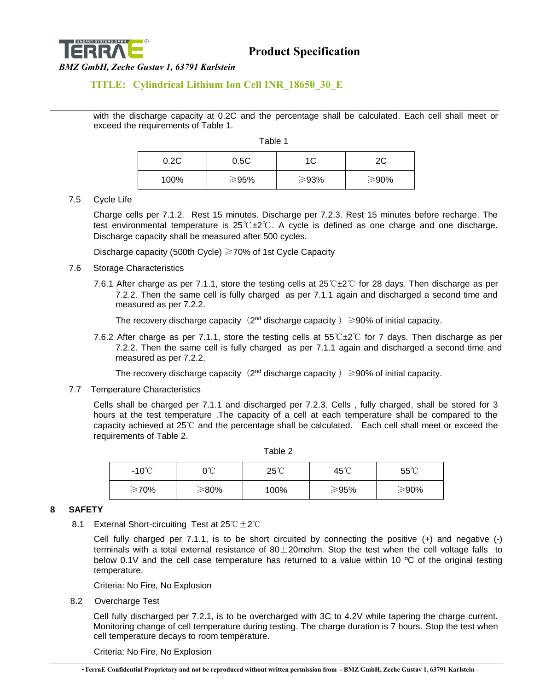

### **TITLE: Cylindrical Lithium Ion Cell INR\_18650\_30\_E**

\_\_\_\_\_\_\_\_\_\_\_\_\_\_\_\_\_\_\_\_\_\_\_\_\_\_\_\_\_\_\_\_\_\_\_\_\_\_\_\_\_\_\_\_\_\_\_\_\_\_\_\_\_\_\_\_\_\_\_\_\_\_\_\_\_\_\_\_\_\_\_\_\_\_\_\_\_\_\_\_\_\_\_\_\_\_\_\_\_\_\_\_\_\_\_\_\_\_\_\_\_\_\_ with the discharge capacity at 0.2C and the percentage shall be calculated. Each cell shall meet or exceed the requirements of Table 1.

Table 1

| 0.2C | 0.5C |      | ∩∩   |
|------|------|------|------|
| 100% | ≥95% | ≥93% | ≥90% |

7.5 Cycle Life

Charge cells per 7.1.2. Rest 15 minutes. Discharge per 7.2.3. Rest 15 minutes before recharge. The test environmental temperature is 25℃±2℃. A cycle is defined as one charge and one discharge. Discharge capacity shall be measured after 500 cycles.

Discharge capacity (500th Cycle) ≥70% of 1st Cycle Capacity

- 7.6 Storage Characteristics
	- 7.6.1 After charge as per 7.1.1, store the testing cells at 25℃±2℃ for 28 days. Then discharge as per 7.2.2. Then the same cell is fully charged as per 7.1.1 again and discharged a second time and measured as per 7.2.2.

The recovery discharge capacity  $(2^{nd}$  discharge capacity  $) \geq 90\%$  of initial capacity.

7.6.2 After charge as per 7.1.1, store the testing cells at 55℃±2℃ for 7 days. Then discharge as per 7.2.2. Then the same cell is fully charged as per 7.1.1 again and discharged a second time and measured as per 7.2.2.

The recovery discharge capacity  $(2^{nd}$  discharge capacity  $) \geq 90\%$  of initial capacity.

7.7 Temperature Characteristics

Cells shall be charged per 7.1.1 and discharged per 7.2.3. Cells , fully charged, shall be stored for 3 hours at the test temperature .The capacity of a cell at each temperature shall be compared to the capacity achieved at 25℃ and the percentage shall be calculated. Each cell shall meet or exceed the requirements of Table 2.

| -10℃ | 0℃   | $25^{\circ}$ | 45°C | $55^{\circ}$ |
|------|------|--------------|------|--------------|
| ≥70% | ≥80% | 100%         | ≥95% | ≥90%         |

#### **8 SAFETY**

8.1 External Short-circuiting Test at 25℃±2℃

Cell fully charged per 7.1.1, is to be short circuited by connecting the positive (+) and negative (-) terminals with a total external resistance of  $80 \pm 20$  mohm. Stop the test when the cell voltage falls to below 0.1V and the cell case temperature has returned to a value within 10 °C of the original testing temperature.

Criteria: No Fire, No Explosion

8.2 Overcharge Test

Cell fully discharged per 7.2.1, is to be overcharged with 3C to 4.2V while tapering the charge current. Monitoring change of cell temperature during testing. The charge duration is 7 hours. Stop the test when cell temperature decays to room temperature.

Criteria: No Fire, No Explosion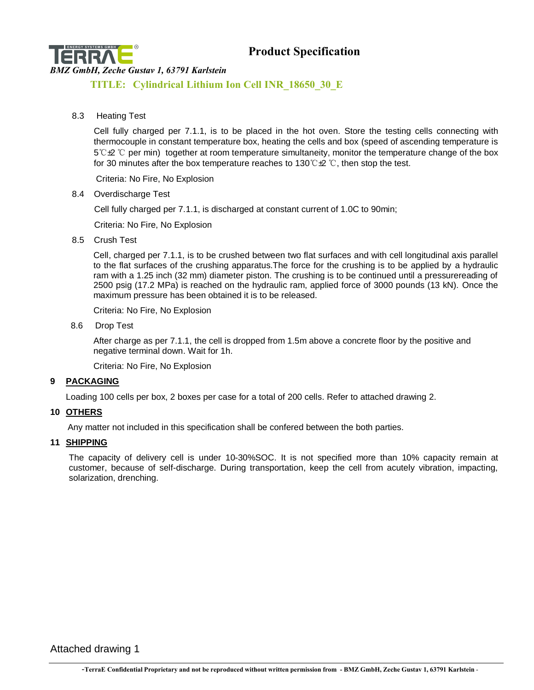

### **Product Specification**

### *BMZ GmbH, Zeche Gustav 1, 63791 Karlstein*

**TITLE: Cylindrical Lithium Ion Cell INR\_18650\_30\_E**

8.3 Heating Test

Cell fully charged per 7.1.1, is to be placed in the hot oven. Store the testing cells connecting with thermocouple in constant temperature box, heating the cells and box (speed of ascending temperature is 5℃±2 ℃ per min) together at room temperature simultaneity, monitor the temperature change of the box for 30 minutes after the box temperature reaches to 130 ℃ $\mathcal{L}$  °C, then stop the test.

Criteria: No Fire, No Explosion

8.4 Overdischarge Test

Cell fully charged per 7.1.1, is discharged at constant current of 1.0C to 90min;

Criteria: No Fire, No Explosion

8.5 Crush Test

Cell, charged per 7.1.1, is to be crushed between two flat surfaces and with cell longitudinal axis parallel to the flat surfaces of the crushing apparatus.The force for the crushing is to be applied by a hydraulic ram with a 1.25 inch (32 mm) diameter piston. The crushing is to be continued until a pressurereading of 2500 psig (17.2 MPa) is reached on the hydraulic ram, applied force of 3000 pounds (13 kN). Once the maximum pressure has been obtained it is to be released.

Criteria: No Fire, No Explosion

8.6 Drop Test

After charge as per 7.1.1, the cell is dropped from 1.5m above a concrete floor by the positive and negative terminal down. Wait for 1h.

Criteria: No Fire, No Explosion

### **9 PACKAGING**

Loading 100 cells per box, 2 boxes per case for a total of 200 cells. Refer to attached drawing 2.

### **10 OTHERS**

Any matter not included in this specification shall be confered between the both parties.

### **11 SHIPPING**

The capacity of delivery cell is under 10-30%SOC. It is not specified more than 10% capacity remain at customer, because of self-discharge. During transportation, keep the cell from acutely vibration, impacting, solarization, drenching.

Attached drawing 1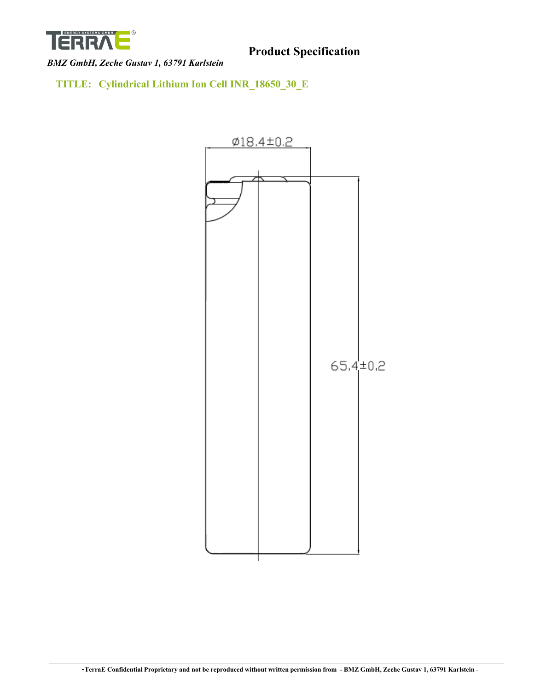

**TITLE: Cylindrical Lithium Ion Cell INR\_18650\_30\_E**

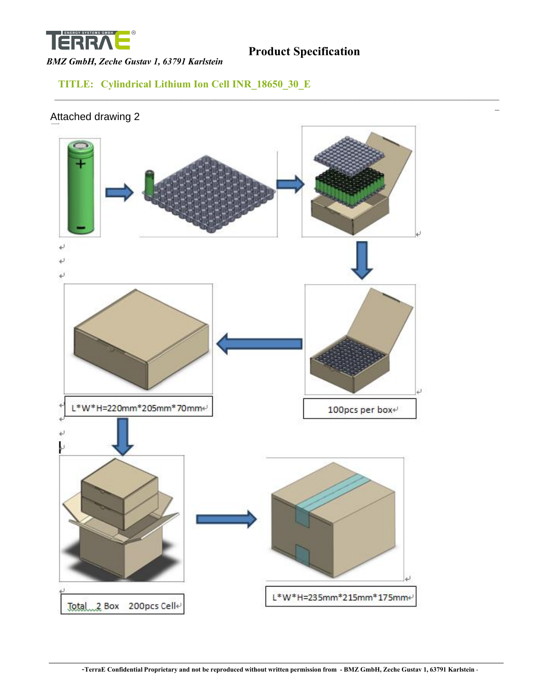

### *BMZ GmbH, Zeche Gustav 1, 63791 Karlstein*

### **TITLE: Cylindrical Lithium Ion Cell INR\_18650\_30\_E**

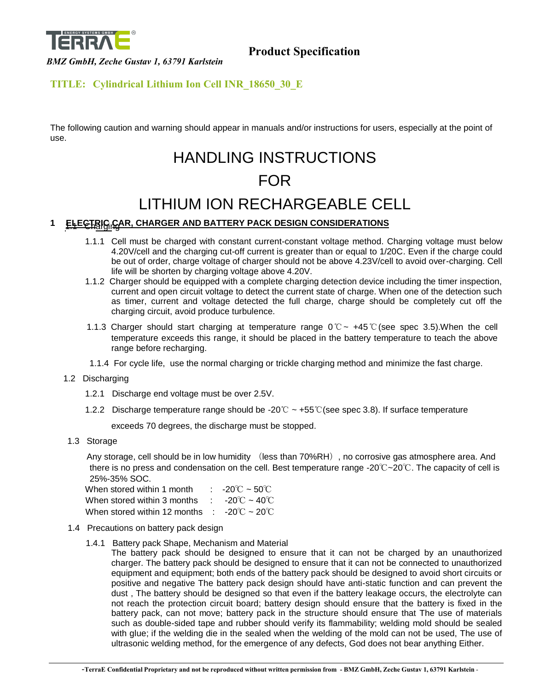

### **TITLE: Cylindrical Lithium Ion Cell INR\_18650\_30\_E**

The following caution and warning should appear in manuals and/or instructions for users, especially at the point of use.

# HANDLING INSTRUCTIONS FOR

## LITHIUM ION RECHARGEABLE CELL

### **1 ELECTRIG CAR, CHARGER AND BATTERY PACK DESIGN CONSIDERATIONS**

- 1.1.1 Cell must be charged with constant current-constant voltage method. Charging voltage must below 4.20V/cell and the charging cut-off current is greater than or equal to 1/20C. Even if the charge could be out of order, charge voltage of charger should not be above 4.23V/cell to avoid over-charging. Cell life will be shorten by charging voltage above 4.20V.
- 1.1.2 Charger should be equipped with a complete charging detection device including the timer inspection, current and open circuit voltage to detect the current state of charge. When one of the detection such as timer, current and voltage detected the full charge, charge should be completely cut off the charging circuit, avoid produce turbulence.
- 1.1.3 Charger should start charging at temperature range 0℃~ +45℃(see spec 3.5).When the cell temperature exceeds this range, it should be placed in the battery temperature to teach the above range before recharging.
- 1.1.4 For cycle life, use the normal charging or trickle charging method and minimize the fast charge.
- 1.2 Discharging
	- 1.2.1 Discharge end voltage must be over 2.5V.
	- 1.2.2 Discharge temperature range should be -20℃ ~ +55℃(see spec 3.8). If surface temperature

exceeds 70 degrees, the discharge must be stopped.

1.3 Storage

Any storage, cell should be in low humidity (less than 70%RH), no corrosive gas atmosphere area. And there is no press and condensation on the cell. Best temperature range -20℃~20℃. The capacity of cell is 25%-35% SOC.

| When stored within 1 month                                         | : $-20^{\circ}$ C ~ 50 $^{\circ}$ C |
|--------------------------------------------------------------------|-------------------------------------|
| When stored within 3 months : $-20^{\circ}C \sim 40^{\circ}C$      |                                     |
| When stored within 12 months : $-20^{\circ}$ C ~ 20 <sup>°</sup> C |                                     |

- 1.4 Precautions on battery pack design
	- 1.4.1 Battery pack Shape, Mechanism and Material

The battery pack should be designed to ensure that it can not be charged by an unauthorized charger. The battery pack should be designed to ensure that it can not be connected to unauthorized equipment and equipment; both ends of the battery pack should be designed to avoid short circuits or positive and negative The battery pack design should have anti-static function and can prevent the dust , The battery should be designed so that even if the battery leakage occurs, the electrolyte can not reach the protection circuit board; battery design should ensure that the battery is fixed in the battery pack, can not move; battery pack in the structure should ensure that The use of materials such as double-sided tape and rubber should verify its flammability; welding mold should be sealed with glue; if the welding die in the sealed when the welding of the mold can not be used, The use of ultrasonic welding method, for the emergence of any defects, God does not bear anything Either.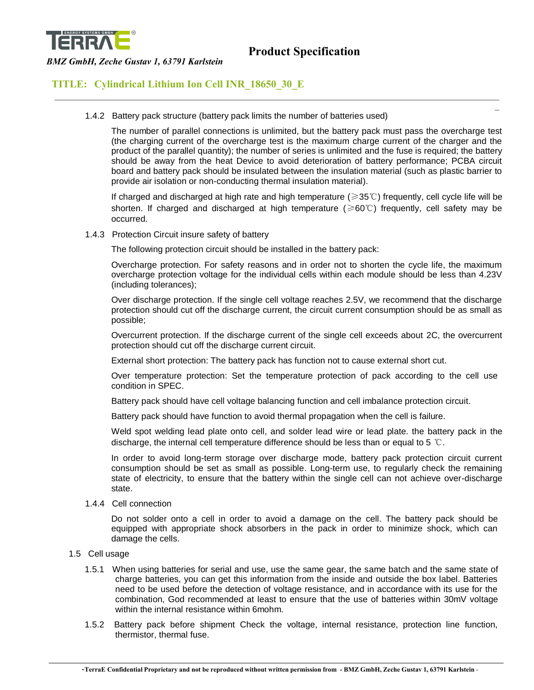

\_\_\_\_\_\_\_\_\_\_\_\_\_\_\_\_\_\_\_\_\_\_\_\_\_\_\_\_\_\_\_\_\_\_\_\_\_\_\_\_\_\_\_\_\_\_\_\_\_\_\_\_\_\_\_\_\_\_\_\_\_\_\_\_\_\_\_\_\_\_\_\_\_\_\_\_\_\_\_\_\_\_\_\_\_\_\_\_\_\_\_\_\_\_\_\_\_\_\_\_\_\_

### *BMZ GmbH, Zeche Gustav 1, 63791 Karlstein*

### **TITLE: Cylindrical Lithium Ion Cell INR\_18650\_30\_E**

1.4.2 Battery pack structure (battery pack limits the number of batteries used)

The number of parallel connections is unlimited, but the battery pack must pass the overcharge test (the charging current of the overcharge test is the maximum charge current of the charger and the product of the parallel quantity); the number of series is unlimited and the fuse is required; the battery should be away from the heat Device to avoid deterioration of battery performance; PCBA circuit board and battery pack should be insulated between the insulation material (such as plastic barrier to provide air isolation or non-conducting thermal insulation material).

 $\overline{a}$ 

If charged and discharged at high rate and high temperature (≥35℃) frequently, cell cycle life will be shorten. If charged and discharged at high temperature (≥60℃) frequently, cell safety may be occurred.

1.4.3 Protection Circuit insure safety of battery

The following protection circuit should be installed in the battery pack:

Overcharge protection. For safety reasons and in order not to shorten the cycle life, the maximum overcharge protection voltage for the individual cells within each module should be less than 4.23V (including tolerances);

Over discharge protection. If the single cell voltage reaches 2.5V, we recommend that the discharge protection should cut off the discharge current, the circuit current consumption should be as small as possible;

Overcurrent protection. If the discharge current of the single cell exceeds about 2C, the overcurrent protection should cut off the discharge current circuit.

External short protection: The battery pack has function not to cause external short cut.

Over temperature protection: Set the temperature protection of pack according to the cell use condition in SPEC.

Battery pack should have cell voltage balancing function and cell imbalance protection circuit.

Battery pack should have function to avoid thermal propagation when the cell is failure.

Weld spot welding lead plate onto cell, and solder lead wire or lead plate. the battery pack in the discharge, the internal cell temperature difference should be less than or equal to 5  $°C$ .

In order to avoid long-term storage over discharge mode, battery pack protection circuit current consumption should be set as small as possible. Long-term use, to regularly check the remaining state of electricity, to ensure that the battery within the single cell can not achieve over-discharge state.

1.4.4 Cell connection

Do not solder onto a cell in order to avoid a damage on the cell. The battery pack should be equipped with appropriate shock absorbers in the pack in order to minimize shock, which can damage the cells.

- 1.5 Cell usage
	- 1.5.1 When using batteries for serial and use, use the same gear, the same batch and the same state of charge batteries, you can get this information from the inside and outside the box label. Batteries need to be used before the detection of voltage resistance, and in accordance with its use for the combination, God recommended at least to ensure that the use of batteries within 30mV voltage within the internal resistance within 6mohm.
	- 1.5.2 Battery pack before shipment Check the voltage, internal resistance, protection line function, thermistor, thermal fuse.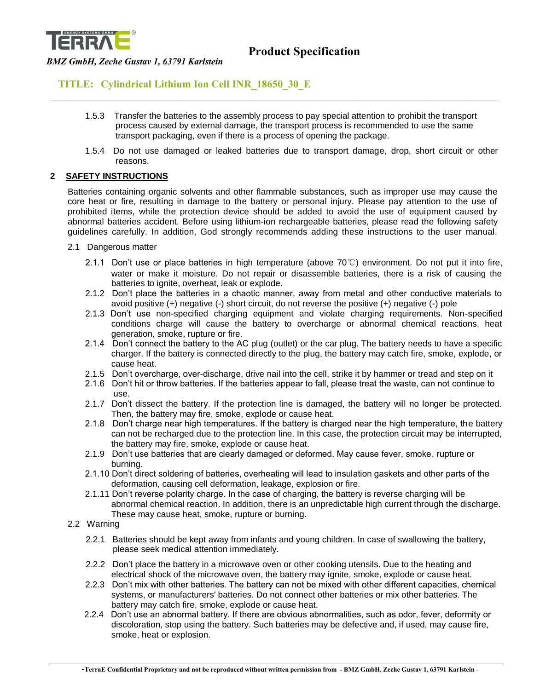

### **TITLE: Cylindrical Lithium Ion Cell INR\_18650\_30\_E**

1.5.3 Transfer the batteries to the assembly process to pay special attention to prohibit the transport process caused by external damage, the transport process is recommended to use the same transport packaging, even if there is a process of opening the package.

\_\_\_\_\_\_\_\_\_\_\_\_\_\_\_\_\_\_\_\_\_\_\_\_\_\_\_\_\_\_\_\_\_\_\_\_\_\_\_\_\_\_\_\_\_\_\_\_\_\_\_\_\_\_\_\_\_\_\_\_\_\_\_\_\_\_\_\_\_\_\_\_\_\_\_\_\_\_\_\_\_\_\_\_\_\_\_\_\_\_\_\_\_\_\_\_\_\_\_\_\_\_\_

1.5.4 Do not use damaged or leaked batteries due to transport damage, drop, short circuit or other reasons.

### **2 SAFETY INSTRUCTIONS**

Batteries containing organic solvents and other flammable substances, such as improper use may cause the core heat or fire, resulting in damage to the battery or personal injury. Please pay attention to the use of prohibited items, while the protection device should be added to avoid the use of equipment caused by abnormal batteries accident. Before using lithium-ion rechargeable batteries, please read the following safety guidelines carefully. In addition, God strongly recommends adding these instructions to the user manual.

- 2.1 Dangerous matter
	- 2.1.1 Don't use or place batteries in high temperature (above 70℃) environment. Do not put it into fire, water or make it moisture. Do not repair or disassemble batteries, there is a risk of causing the batteries to ignite, overheat, leak or explode.
	- 2.1.2 Don't place the batteries in a chaotic manner, away from metal and other conductive materials to avoid positive (+) negative (-) short circuit, do not reverse the positive (+) negative (-) pole
	- 2.1.3 Don't use non-specified charging equipment and violate charging requirements. Non-specified conditions charge will cause the battery to overcharge or abnormal chemical reactions, heat generation, smoke, rupture or fire.
	- 2.1.4 Don't connect the battery to the AC plug (outlet) or the car plug. The battery needs to have a specific charger. If the battery is connected directly to the plug, the battery may catch fire, smoke, explode, or cause heat.
	- 2.1.5 Don't overcharge, over-discharge, drive nail into the cell, strike it by hammer or tread and step on it
	- 2.1.6 Don't hit or throw batteries. If the batteries appear to fall, please treat the waste, can not continue to use.
	- 2.1.7 Don't dissect the battery. If the protection line is damaged, the battery will no longer be protected. Then, the battery may fire, smoke, explode or cause heat.
	- 2.1.8 Don't charge near high temperatures. If the battery is charged near the high temperature, the battery can not be recharged due to the protection line. In this case, the protection circuit may be interrupted, the battery may fire, smoke, explode or cause heat.
	- 2.1.9 Don't use batteries that are clearly damaged or deformed. May cause fever, smoke, rupture or burning.
	- 2.1.10 Don't direct soldering of batteries, overheating will lead to insulation gaskets and other parts of the deformation, causing cell deformation, leakage, explosion or fire.
	- 2.1.11 Don't reverse polarity charge. In the case of charging, the battery is reverse charging will be abnormal chemical reaction. In addition, there is an unpredictable high current through the discharge. These may cause heat, smoke, rupture or burning.
- 2.2 Warning
	- 2.2.1 Batteries should be kept away from infants and young children. In case of swallowing the battery, please seek medical attention immediately.
	- 2.2.2 Don't place the battery in a microwave oven or other cooking utensils. Due to the heating and electrical shock of the microwave oven, the battery may ignite, smoke, explode or cause heat.
	- 2.2.3 Don't mix with other batteries. The battery can not be mixed with other different capacities, chemical systems, or manufacturers' batteries. Do not connect other batteries or mix other batteries. The battery may catch fire, smoke, explode or cause heat.
	- 2.2.4 Don't use an abnormal battery. If there are obvious abnormalities, such as odor, fever, deformity or discoloration, stop using the battery. Such batteries may be defective and, if used, may cause fire, smoke, heat or explosion.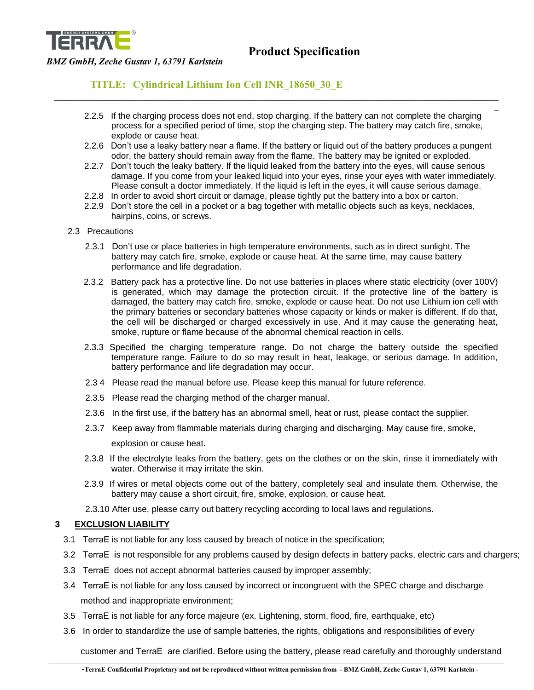

### **TITLE: Cylindrical Lithium Ion Cell INR\_18650\_30\_E**

 2.2.5 If the charging process does not end, stop charging. If the battery can not complete the charging process for a specified period of time, stop the charging step. The battery may catch fire, smoke, explode or cause heat.

 $\mathcal{L}_\mathcal{L} = \mathcal{L}_\mathcal{L} = \mathcal{L}_\mathcal{L} = \mathcal{L}_\mathcal{L} = \mathcal{L}_\mathcal{L} = \mathcal{L}_\mathcal{L} = \mathcal{L}_\mathcal{L} = \mathcal{L}_\mathcal{L} = \mathcal{L}_\mathcal{L} = \mathcal{L}_\mathcal{L} = \mathcal{L}_\mathcal{L} = \mathcal{L}_\mathcal{L} = \mathcal{L}_\mathcal{L} = \mathcal{L}_\mathcal{L} = \mathcal{L}_\mathcal{L} = \mathcal{L}_\mathcal{L} = \mathcal{L}_\mathcal{L}$ 

- 2.2.6 Don't use a leaky battery near a flame. If the battery or liquid out of the battery produces a pungent odor, the battery should remain away from the flame. The battery may be ignited or exploded.
- 2.2.7 Don't touch the leaky battery. If the liquid leaked from the battery into the eyes, will cause serious damage. If you come from your leaked liquid into your eyes, rinse your eyes with water immediately. Please consult a doctor immediately. If the liquid is left in the eyes, it will cause serious damage.
- 2.2.8 In order to avoid short circuit or damage, please tightly put the battery into a box or carton.
- 2.2.9 Don't store the cell in a pocket or a bag together with metallic objects such as keys, necklaces, hairpins, coins, or screws.
- 2.3 Precautions
	- 2.3.1 Don't use or place batteries in high temperature environments, such as in direct sunlight. The battery may catch fire, smoke, explode or cause heat. At the same time, may cause battery performance and life degradation.
	- 2.3.2 Battery pack has a protective line. Do not use batteries in places where static electricity (over 100V) is generated, which may damage the protection circuit. If the protective line of the battery is damaged, the battery may catch fire, smoke, explode or cause heat. Do not use Lithium ion cell with the primary batteries or secondary batteries whose capacity or kinds or maker is different. If do that, the cell will be discharged or charged excessively in use. And it may cause the generating heat, smoke, rupture or flame because of the abnormal chemical reaction in cells.
	- 2.3.3 Specified the charging temperature range. Do not charge the battery outside the specified temperature range. Failure to do so may result in heat, leakage, or serious damage. In addition, battery performance and life degradation may occur.
	- 2.3 4 Please read the manual before use. Please keep this manual for future reference.
	- 2.3.5 Please read the charging method of the charger manual.
	- 2.3.6 In the first use, if the battery has an abnormal smell, heat or rust, please contact the supplier.
	- 2.3.7 Keep away from flammable materials during charging and discharging. May cause fire, smoke, explosion or cause heat.
	- 2.3.8 If the electrolyte leaks from the battery, gets on the clothes or on the skin, rinse it immediately with water. Otherwise it may irritate the skin.
	- 2.3.9 If wires or metal objects come out of the battery, completely seal and insulate them. Otherwise, the battery may cause a short circuit, fire, smoke, explosion, or cause heat.
	- 2.3.10 After use, please carry out battery recycling according to local laws and regulations.

### **3 EXCLUSION LIABILITY**

- 3.1 TerraE is not liable for any loss caused by breach of notice in the specification;
- 3.2 TerraE is not responsible for any problems caused by design defects in battery packs, electric cars and chargers;
- 3.3 TerraE does not accept abnormal batteries caused by improper assembly;
- 3.4 TerraE is not liable for any loss caused by incorrect or incongruent with the SPEC charge and discharge method and inappropriate environment;
- 3.5 TerraE is not liable for any force majeure (ex. Lightening, storm, flood, fire, earthquake, etc)
- 3.6 In order to standardize the use of sample batteries, the rights, obligations and responsibilities of every

customer and TerraE are clarified. Before using the battery, please read carefully and thoroughly understand